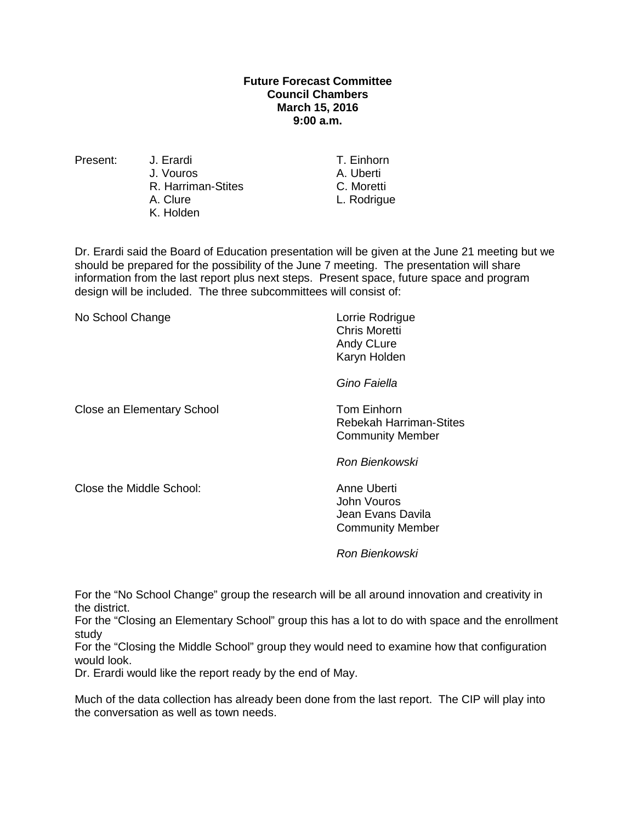## **Future Forecast Committee Council Chambers March 15, 2016 9:00 a.m.**

Present: J. Erardi T. Einhorn J. Vouros A. Uberti<br>
R. Harriman-Stites
B. A. Uberti R. Harriman-Stites<br>A. Clure K. Holden

L. Rodrigue

Dr. Erardi said the Board of Education presentation will be given at the June 21 meeting but we should be prepared for the possibility of the June 7 meeting. The presentation will share information from the last report plus next steps. Present space, future space and program design will be included. The three subcommittees will consist of:

| No School Change           | Lorrie Rodrigue<br><b>Chris Moretti</b><br>Andy CLure<br>Karyn Holden      |
|----------------------------|----------------------------------------------------------------------------|
|                            | Gino Faiella                                                               |
| Close an Elementary School | Tom Einhorn<br>Rebekah Harriman-Stites<br><b>Community Member</b>          |
|                            | Ron Bienkowski                                                             |
| Close the Middle School:   | Anne Uberti<br>John Vouros<br>Jean Evans Davila<br><b>Community Member</b> |
|                            |                                                                            |

*Ron Bienkowski* 

For the "No School Change" group the research will be all around innovation and creativity in the district.

For the "Closing an Elementary School" group this has a lot to do with space and the enrollment study

For the "Closing the Middle School" group they would need to examine how that configuration would look.

Dr. Erardi would like the report ready by the end of May.

Much of the data collection has already been done from the last report. The CIP will play into the conversation as well as town needs.